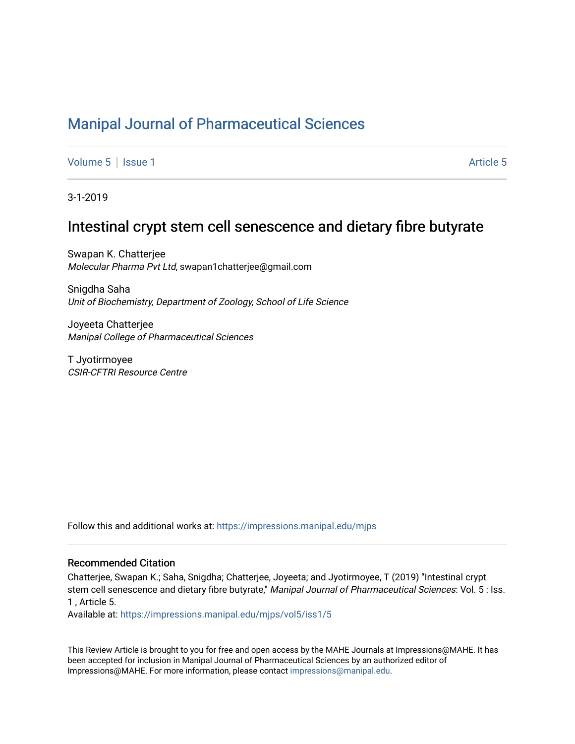## [Manipal Journal of Pharmaceutical Sciences](https://impressions.manipal.edu/mjps)

[Volume 5](https://impressions.manipal.edu/mjps/vol5) | [Issue 1](https://impressions.manipal.edu/mjps/vol5/iss1) Article 5

3-1-2019

### Intestinal crypt stem cell senescence and dietary fibre butyrate

Swapan K. Chatterjee Molecular Pharma Pvt Ltd, swapan1chatterjee@gmail.com

Snigdha Saha Unit of Biochemistry, Department of Zoology, School of Life Science

Joyeeta Chatterjee Manipal College of Pharmaceutical Sciences

T Jyotirmoyee CSIR-CFTRI Resource Centre

Follow this and additional works at: [https://impressions.manipal.edu/mjps](https://impressions.manipal.edu/mjps?utm_source=impressions.manipal.edu%2Fmjps%2Fvol5%2Fiss1%2F5&utm_medium=PDF&utm_campaign=PDFCoverPages)

#### Recommended Citation

Chatterjee, Swapan K.; Saha, Snigdha; Chatterjee, Joyeeta; and Jyotirmoyee, T (2019) "Intestinal crypt stem cell senescence and dietary fibre butyrate," Manipal Journal of Pharmaceutical Sciences: Vol. 5 : Iss. 1 , Article 5.

Available at: [https://impressions.manipal.edu/mjps/vol5/iss1/5](https://impressions.manipal.edu/mjps/vol5/iss1/5?utm_source=impressions.manipal.edu%2Fmjps%2Fvol5%2Fiss1%2F5&utm_medium=PDF&utm_campaign=PDFCoverPages)

This Review Article is brought to you for free and open access by the MAHE Journals at Impressions@MAHE. It has been accepted for inclusion in Manipal Journal of Pharmaceutical Sciences by an authorized editor of Impressions@MAHE. For more information, please contact [impressions@manipal.edu](mailto:impressions@manipal.edu).